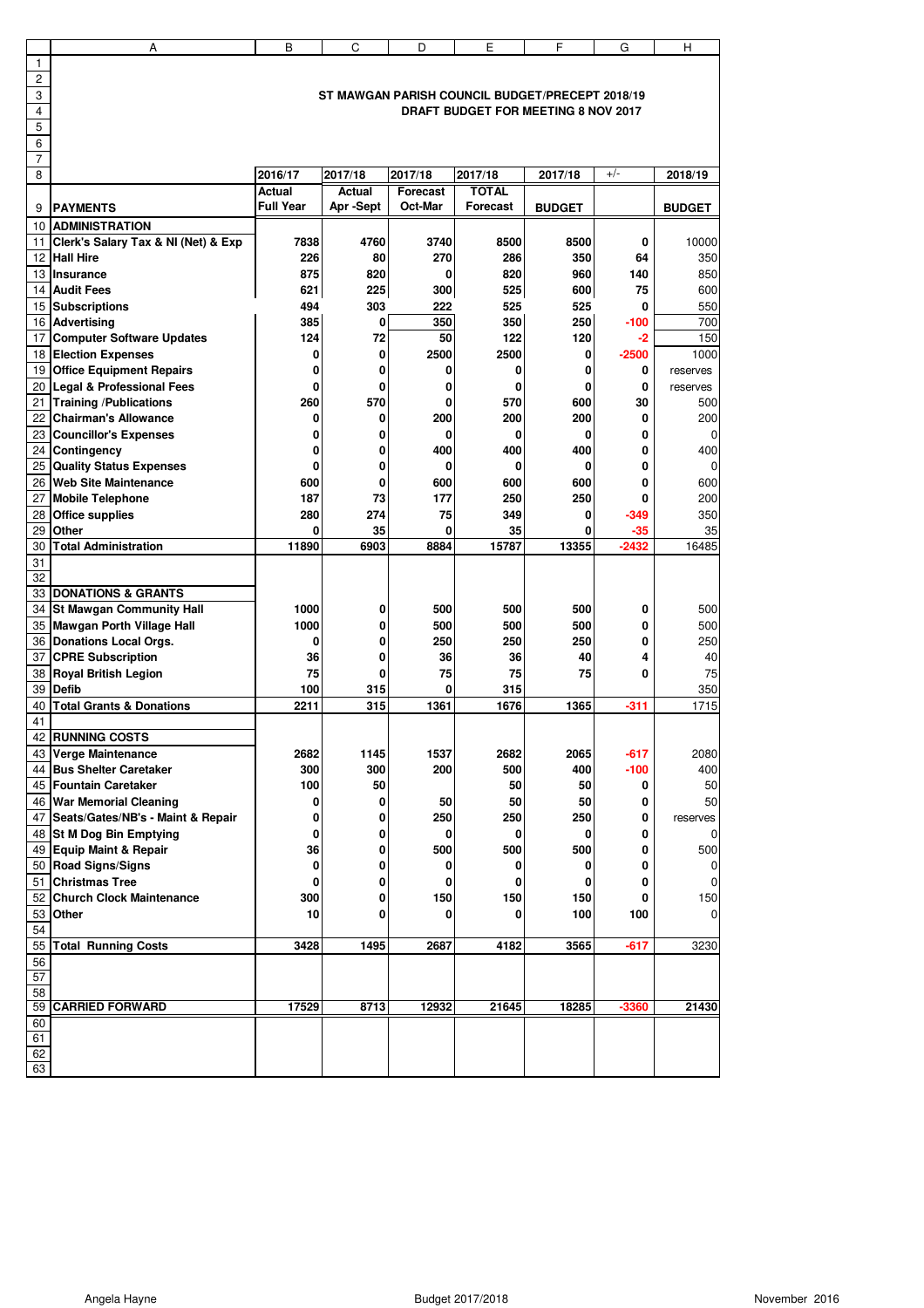|                 | А                                               | B                | C            | D               | E                                          | F             | G            | н             |  |
|-----------------|-------------------------------------------------|------------------|--------------|-----------------|--------------------------------------------|---------------|--------------|---------------|--|
| 1               |                                                 |                  |              |                 |                                            |               |              |               |  |
| $\overline{c}$  |                                                 |                  |              |                 |                                            |               |              |               |  |
| 3               | ST MAWGAN PARISH COUNCIL BUDGET/PRECEPT 2018/19 |                  |              |                 |                                            |               |              |               |  |
| $\overline{4}$  |                                                 |                  |              |                 | <b>DRAFT BUDGET FOR MEETING 8 NOV 2017</b> |               |              |               |  |
| 5               |                                                 |                  |              |                 |                                            |               |              |               |  |
| 6               |                                                 |                  |              |                 |                                            |               |              |               |  |
| $\overline{7}$  |                                                 |                  |              |                 |                                            |               |              |               |  |
| 8               |                                                 | 2016/17          | 2017/18      | 2017/18         | 2017/18                                    | 2017/18       | $+/-$        | 2018/19       |  |
|                 |                                                 | Actual           | Actual       | <b>Forecast</b> | <b>TOTAL</b>                               |               |              |               |  |
| 9               | <b>PAYMENTS</b>                                 | <b>Full Year</b> | Apr-Sept     | Oct-Mar         | Forecast                                   | <b>BUDGET</b> |              | <b>BUDGET</b> |  |
|                 | <b>10 ADMINISTRATION</b>                        |                  |              |                 |                                            |               |              |               |  |
|                 | 11 Clerk's Salary Tax & NI (Net) & Exp          | 7838             | 4760         | 3740            | 8500                                       | 8500          | 0            | 10000         |  |
|                 | 12 Hall Hire                                    | 226              | 80           | 270             | 286                                        | 350           | 64           | 350           |  |
|                 | 13 Insurance                                    | 875              | 820          | 0               | 820                                        | 960           | 140          | 850           |  |
|                 | 14 Audit Fees                                   | 621              | 225          | 300             | 525                                        | 600           | 75           | 600           |  |
|                 | 15 Subscriptions                                | 494              | 303          | 222             | 525                                        | 525           | $\bf{0}$     | 550           |  |
|                 | 16 Advertising                                  | 385              | $\mathbf{0}$ | 350             | 350                                        | 250           | $-100$       | 700           |  |
|                 | 17 Computer Software Updates                    | 124              | 72           | 50              | 122                                        | 120           | -2           | 150           |  |
|                 |                                                 |                  |              |                 |                                            |               |              |               |  |
|                 | 18 Election Expenses                            | 0<br>0           | 0<br>0       | 2500<br>0       | 2500<br>0                                  | 0<br>0        | $-2500$<br>0 | 1000          |  |
|                 | 19 Office Equipment Repairs                     |                  |              |                 |                                            |               |              | reserves      |  |
|                 | 20 Legal & Professional Fees                    | 0                | 0            | 0               | 0                                          | 0             | 0            | reserves      |  |
|                 | 21 Training / Publications                      | 260              | 570          | 0               | 570                                        | 600           | 30           | 500           |  |
|                 | 22 Chairman's Allowance                         | 0                | 0            | 200             | 200                                        | 200           | 0            | 200           |  |
|                 | 23 Councillor's Expenses                        | 0                | 0            | 0               | 0                                          | 0             | 0            | $\mathbf 0$   |  |
|                 | 24 Contingency                                  | 0                | 0            | 400             | 400                                        | 400           | 0            | 400           |  |
|                 | 25 Quality Status Expenses                      | 0                | 0            | 0               | 0                                          | 0             | 0            | 0             |  |
|                 | 26 Web Site Maintenance                         | 600              | 0            | 600             | 600                                        | 600           | 0            | 600           |  |
|                 | 27 Mobile Telephone                             | 187              | 73           | 177             | 250                                        | 250           | 0            | 200           |  |
|                 | 28 Office supplies                              | 280              | 274          | 75              | 349                                        | 0             | $-349$       | 350           |  |
| 29              | <b>Other</b>                                    | 0                | 35           | 0               | 35                                         | 0             | -35          | 35            |  |
| 30              | <b>Total Administration</b>                     | 11890            | 6903         | 8884            | 15787                                      | 13355         | $-2432$      | 16485         |  |
| 31              |                                                 |                  |              |                 |                                            |               |              |               |  |
| 32              |                                                 |                  |              |                 |                                            |               |              |               |  |
|                 | 33 DONATIONS & GRANTS                           |                  |              |                 |                                            |               |              |               |  |
|                 | 34 St Mawgan Community Hall                     | 1000             | 0            | 500             | 500                                        | 500           | 0            | 500           |  |
|                 | 35 Mawgan Porth Village Hall                    | 1000             | 0            | 500             | 500                                        | 500           | 0            | 500           |  |
|                 | 36 Donations Local Orgs.                        | 0                | 0            | 250             | 250                                        | 250           | 0            | 250           |  |
|                 | 37 CPRE Subscription                            | 36               | 0            | 36              | 36                                         | 40            | 4            | 40            |  |
|                 | 38 Royal British Legion                         | 75               | 0            | 75              | 75                                         | 75            | 0            | 75            |  |
| 39              | <b>Defib</b>                                    | 100              | 315          | 0               | 315                                        |               |              | 350           |  |
| 40              | <b>Total Grants &amp; Donations</b>             | 2211             | 315          | 1361            | 1676                                       | 1365          | $-311$       | 1715          |  |
| 41              |                                                 |                  |              |                 |                                            |               |              |               |  |
|                 | 42 RUNNING COSTS                                |                  |              |                 |                                            |               |              |               |  |
|                 | 43 Verge Maintenance                            | 2682             | 1145         | 1537            | 2682                                       | 2065          | $-617$       | 2080          |  |
|                 | 44 Bus Shelter Caretaker                        | 300              | 300          | 200             | 500                                        | 400           | -100         | 400           |  |
|                 | 45 Fountain Caretaker                           | 100              | 50           |                 | 50                                         | 50            | 0            | 50            |  |
|                 | 46 War Memorial Cleaning                        | 0                | 0            | 50              | 50                                         | 50            | 0            | 50            |  |
|                 | 47 Seats/Gates/NB's - Maint & Repair            | 0                | 0            | 250             | 250                                        | 250           | 0            | reserves      |  |
|                 | 48 St M Dog Bin Emptying                        | 0                | 0            | 0               | 0                                          | 0             | 0            | 0             |  |
|                 | 49 Equip Maint & Repair                         | 36               | 0            | 500             | 500                                        | 500           | 0            | 500           |  |
|                 | 50 Road Signs/Signs                             | 0                | 0            | 0               | 0                                          | 0             | 0            | 0             |  |
|                 | 51 Christmas Tree                               | 0                | 0            | 0               | 0                                          | 0             | 0            | 0             |  |
|                 | 52 Church Clock Maintenance                     | 300              | 0            | 150             | 150                                        | 150           | 0            | 150           |  |
|                 | 53 Other                                        | 10               | 0            | 0               | 0                                          | 100           | 100          | $\pmb{0}$     |  |
| 54              |                                                 |                  |              |                 |                                            |               |              |               |  |
| 55              | <b>Total Running Costs</b>                      | 3428             | 1495         | 2687            | 4182                                       | 3565          | $-617$       | 3230          |  |
| 56              |                                                 |                  |              |                 |                                            |               |              |               |  |
| $\overline{57}$ |                                                 |                  |              |                 |                                            |               |              |               |  |
| 58              |                                                 |                  |              |                 |                                            |               |              |               |  |
| 59              | <b>CARRIED FORWARD</b>                          | 17529            | 8713         | 12932           | 21645                                      | 18285         | $-3360$      | 21430         |  |
| 60              |                                                 |                  |              |                 |                                            |               |              |               |  |
| 61              |                                                 |                  |              |                 |                                            |               |              |               |  |
| 62              |                                                 |                  |              |                 |                                            |               |              |               |  |
| 63              |                                                 |                  |              |                 |                                            |               |              |               |  |
|                 |                                                 |                  |              |                 |                                            |               |              |               |  |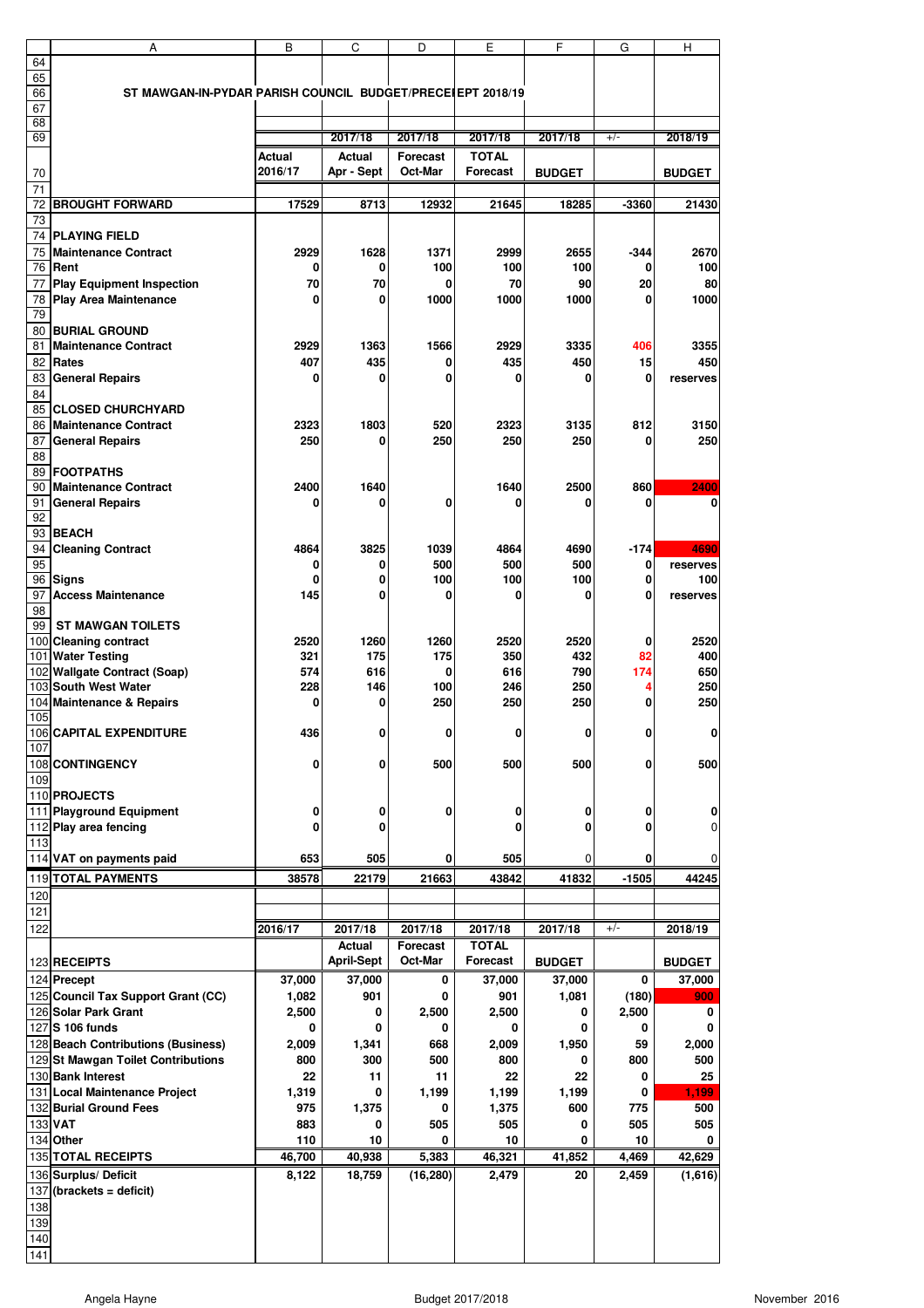|     | Α                                                          | B       | C                 | D               | E               | F             | G       | н             |
|-----|------------------------------------------------------------|---------|-------------------|-----------------|-----------------|---------------|---------|---------------|
| 64  |                                                            |         |                   |                 |                 |               |         |               |
| 65  |                                                            |         |                   |                 |                 |               |         |               |
| 66  | ST MAWGAN-IN-PYDAR PARISH COUNCIL BUDGET/PRECEIEPT 2018/19 |         |                   |                 |                 |               |         |               |
| 67  |                                                            |         |                   |                 |                 |               |         |               |
| 68  |                                                            |         |                   |                 |                 |               |         |               |
| 69  |                                                            |         | 2017/18           | 2017/18         | 2017/18         | 2017/18       | $+/-$   | 2018/19       |
|     |                                                            | Actual  | <b>Actual</b>     | <b>Forecast</b> | <b>TOTAL</b>    |               |         |               |
| 70  |                                                            | 2016/17 | Apr - Sept        | Oct-Mar         | <b>Forecast</b> | <b>BUDGET</b> |         | <b>BUDGET</b> |
| 71  |                                                            |         |                   |                 |                 |               |         |               |
| 72  | <b>BROUGHT FORWARD</b>                                     | 17529   | 8713              | 12932           | 21645           | 18285         | -3360   | 21430         |
| 73  |                                                            |         |                   |                 |                 |               |         |               |
|     |                                                            |         |                   |                 |                 |               |         |               |
|     | <b>74 PLAYING FIELD</b>                                    |         |                   |                 |                 |               |         |               |
| 75  | <b>Maintenance Contract</b>                                | 2929    | 1628              | 1371            | 2999            | 2655          | -344    | 2670          |
|     | 76 Rent                                                    | 0       | 0                 | 100             | 100             | 100           | 0       | 100           |
| 77  | <b>Play Equipment Inspection</b>                           | 70      | 70                | 0               | 70              | 90            | 20      | 80            |
| 78  | <b>Play Area Maintenance</b>                               | 0       | 0                 | 1000            | 1000            | 1000          | 0       | 1000          |
| 79  |                                                            |         |                   |                 |                 |               |         |               |
|     | 80 BURIAL GROUND                                           |         |                   |                 |                 |               |         |               |
| 81  | <b>Maintenance Contract</b>                                | 2929    | 1363              | 1566            | 2929            | 3335          | 406     | 3355          |
| 82  | <b>Rates</b>                                               | 407     | 435               | 0               | 435             | 450           | 15      | 450           |
|     |                                                            |         |                   |                 |                 |               |         |               |
| 83  | <b>General Repairs</b>                                     | 0       | 0                 | 0               | 0               | 0             | 0       | reserves      |
| 84  |                                                            |         |                   |                 |                 |               |         |               |
| 85  | <b>CLOSED CHURCHYARD</b>                                   |         |                   |                 |                 |               |         |               |
| 86  | <b>Maintenance Contract</b>                                | 2323    | 1803              | 520             | 2323            | 3135          | 812     | 3150          |
| 87  | <b>General Repairs</b>                                     | 250     | 0                 | 250             | 250             | 250           | 0       | 250           |
| 88  |                                                            |         |                   |                 |                 |               |         |               |
|     | 89 FOOTPATHS                                               |         |                   |                 |                 |               |         |               |
| 90  | <b>Maintenance Contract</b>                                | 2400    | 1640              |                 | 1640            | 2500          | 860     | 2400          |
| 91  | <b>General Repairs</b>                                     | 0       | 0                 | 0               | 0               | ſ             | 0       | 0             |
| 92  |                                                            |         |                   |                 |                 |               |         |               |
|     |                                                            |         |                   |                 |                 |               |         |               |
| 93  | <b>BEACH</b>                                               |         |                   |                 |                 |               |         |               |
| 94  | <b>Cleaning Contract</b>                                   | 4864    | 3825              | 1039            | 4864            | 4690          | $-174$  | 4690          |
| 95  |                                                            | 0       | 0                 | 500             | 500             | 500           | 0       | reserves      |
|     | 96 Signs                                                   | 0       | 0                 | 100             | 100             | 100           | 0       | 100           |
| 97  | <b>Access Maintenance</b>                                  | 145     | 0                 | 0               | 0               | 0             | 0       | reserves      |
| 98  |                                                            |         |                   |                 |                 |               |         |               |
| 99  | <b>ST MAWGAN TOILETS</b>                                   |         |                   |                 |                 |               |         |               |
|     | 100 Cleaning contract                                      | 2520    | 1260              | 1260            | 2520            | 2520          | 0       | 2520          |
|     | 101 Water Testing                                          | 321     | 175               | 175             | 350             | 432           | 82      | 400           |
|     | 102 Wallgate Contract (Soap)                               | 574     | 616               | 0               | 616             | 790           | 174     | 650           |
|     | 103 South West Water                                       | 228     | 146               | 100             | 246             | 250           | 4       | 250           |
|     | 104 Maintenance & Repairs                                  | 0       | 0                 | 250             | 250             | 250           | 0       | 250           |
| 105 |                                                            |         |                   |                 |                 |               |         |               |
|     |                                                            |         |                   |                 |                 |               |         |               |
|     | 106 CAPITAL EXPENDITURE                                    | 436     | 0                 | 0               | 0               | 0             | 0       | 0             |
| 107 |                                                            |         |                   |                 |                 |               |         |               |
|     | 108 CONTINGENCY                                            | 0       | 0                 | 500             | 500             | 500           | 0       | 500           |
| 109 |                                                            |         |                   |                 |                 |               |         |               |
|     | 110 PROJECTS                                               |         |                   |                 |                 |               |         |               |
|     | 111 Playground Equipment                                   | 0       | 0                 | 0               | 0               | 0             | 0       | 0             |
|     | 112 Play area fencing                                      | 0       | 0                 |                 | 0               | 0             | 0       | 0             |
| 113 |                                                            |         |                   |                 |                 |               |         |               |
|     | 114 VAT on payments paid                                   | 653     | 505               | 0               | 505             | $\Omega$      | 0       | $\mathbf 0$   |
|     |                                                            |         |                   |                 |                 |               |         |               |
|     | 119 TOTAL PAYMENTS                                         | 38578   | 22179             | 21663           | 43842           | 41832         | $-1505$ | 44245         |
| 120 |                                                            |         |                   |                 |                 |               |         |               |
| 121 |                                                            |         |                   |                 |                 |               |         |               |
| 122 |                                                            | 2016/17 | 2017/18           | 2017/18         | 2017/18         | 2017/18       | $+/-$   | 2018/19       |
|     |                                                            |         | Actual            | <b>Forecast</b> | <b>TOTAL</b>    |               |         |               |
|     | 123 RECEIPTS                                               |         | <b>April-Sept</b> | Oct-Mar         | <b>Forecast</b> | <b>BUDGET</b> |         | <b>BUDGET</b> |
|     | 124 Precept                                                | 37,000  |                   | 0               | 37,000          |               | 0       |               |
|     |                                                            |         | 37,000            |                 |                 | 37,000        |         | 37,000        |
|     | 125 Council Tax Support Grant (CC)                         | 1,082   | 901               | 0               | 901             | 1,081         | (180)   | 900           |
|     | 126 Solar Park Grant                                       | 2,500   | 0                 | 2,500           | 2,500           | 0             | 2,500   | 0             |
|     | 127 S 106 funds                                            | 0       | 0                 | 0               | 0               | 0             | 0       | 0             |
|     | 128 Beach Contributions (Business)                         | 2,009   | 1,341             | 668             | 2,009           | 1,950         | 59      | 2,000         |
|     | 129 St Mawgan Toilet Contributions                         | 800     | 300               | 500             | 800             | 0             | 800     | 500           |
|     | 130 Bank Interest                                          | 22      | 11                | 11              | 22              | 22            | 0       | 25            |
|     | 131 Local Maintenance Project                              | 1,319   | 0                 | 1,199           | 1,199           | 1,199         | 0       | 1,199         |
|     | 132 Burial Ground Fees                                     | 975     | 1,375             | 0               | 1,375           | 600           | 775     | 500           |
|     |                                                            |         |                   |                 |                 |               |         |               |
|     | 133 VAT                                                    | 883     | 0                 | 505             | 505             | 0             | 505     | 505           |
|     | 134 Other                                                  | 110     | 10                | 0               | 10              | 0             | 10      | 0             |
|     | 135 TOTAL RECEIPTS                                         | 46,700  | 40,938            | 5,383           | 46,321          | 41,852        | 4,469   | 42,629        |
|     | 136 Surplus/ Deficit                                       | 8,122   | 18,759            | (16, 280)       | 2,479           | 20            | 2,459   | (1,616)       |
|     | $137$ (brackets = deficit)                                 |         |                   |                 |                 |               |         |               |
| 138 |                                                            |         |                   |                 |                 |               |         |               |
| 139 |                                                            |         |                   |                 |                 |               |         |               |
|     |                                                            |         |                   |                 |                 |               |         |               |
| 140 |                                                            |         |                   |                 |                 |               |         |               |
| 141 |                                                            |         |                   |                 |                 |               |         |               |